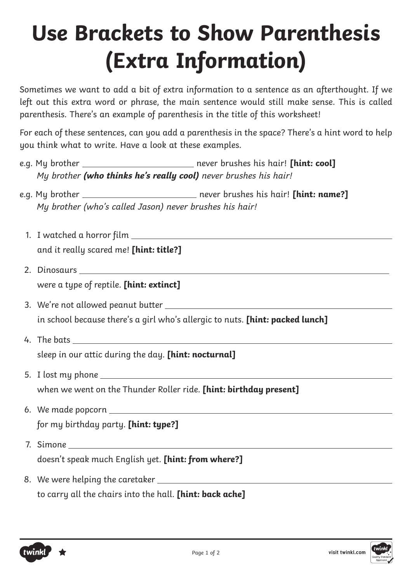# **Use Brackets to Show Parenthesis (Extra Information)**

Sometimes we want to add a bit of extra information to a sentence as an afterthought. If we left out this extra word or phrase, the main sentence would still make sense. This is called parenthesis. There's an example of parenthesis in the title of this worksheet!

For each of these sentences, can you add a parenthesis in the space? There's a hint word to help you think what to write. Have a look at these examples.

- e.g. My brother never brushes his hair! **[hint: cool]** My brother **(who thinks he's really cool)** never brushes his hair!
- e.g. My brother never brushes his hair! **[hint: name?]** My brother (who's called Jason) never brushes his hair!
	- 1. I watched a horror film and it really scared me! **[hint: title?]**
	- 2. Dinosaurs were a type of reptile. **[hint: extinct]**
	- 3. We're not allowed peanut butter in school because there's a girl who's allergic to nuts. **[hint: packed lunch]**
	- 4. The bats sleep in our attic during the day. **[hint: nocturnal]**
	- 5. I lost my phone when we went on the Thunder Roller ride. **[hint: birthday present]**
	- 6. We made popcorn for my birthday party. **[hint: type?]**
	- 7. Simone doesn't speak much English yet. **[hint: from where?]**
	- 8. We were helping the caretaker to carry all the chairs into the hall. **[hint: back ache]**



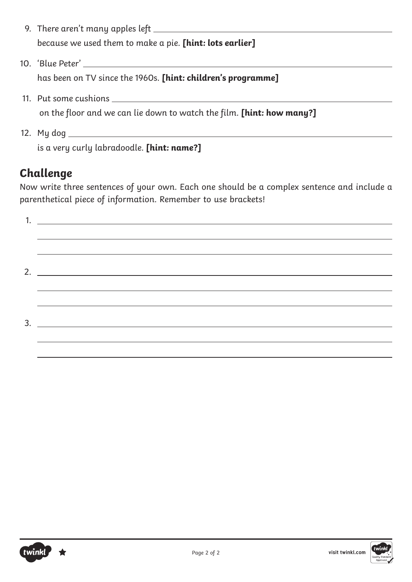- 9. There aren't many apples left because we used them to make a pie. **[hint: lots earlier]**
- 10. 'Blue Peter' has been on TV since the 1960s. **[hint: children's programme]**
- 11. Put some cushions on the floor and we can lie down to watch the film. **[hint: how many?]**
- 12. My dog is a very curly labradoodle. **[hint: name?]**

## **Challenge**

Now write three sentences of your own. Each one should be a complex sentence and include a parenthetical piece of information. Remember to use brackets!



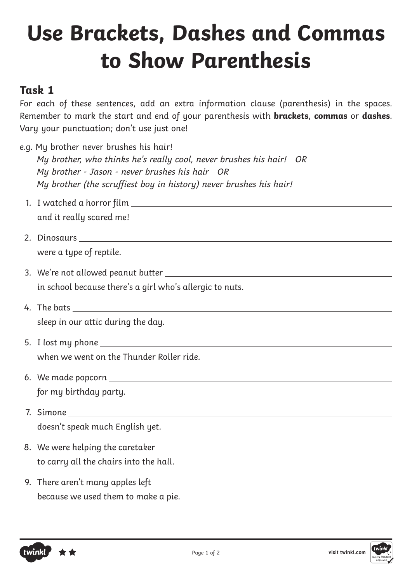## **Use Brackets, Dashes and Commas to Show Parenthesis**

#### **Task 1**

For each of these sentences, add an extra information clause (parenthesis) in the spaces. Remember to mark the start and end of your parenthesis with **brackets**, **commas** or **dashes**. Vary your punctuation; don't use just one!

- e.g. My brother never brushes his hair! My brother, who thinks he's really cool, never brushes his hair! OR My brother - Jason - never brushes his hair OR My brother (the scruffiest boy in history) never brushes his hair!
	- 1. I watched a horror film and it really scared me!
	- 2. Dinosaurs were a type of reptile.
	- 3. We're not allowed peanut butter in school because there's a girl who's allergic to nuts.
- 4. The bats sleep in our attic during the day.
	- 5. I lost my phone when we went on the Thunder Roller ride.
	- 6. We made popcorn for my birthday party.
	- 7. Simone doesn't speak much English yet.
	- 8. We were helping the caretaker to carry all the chairs into the hall.
	- 9. There aren't many apples left because we used them to make a pie.



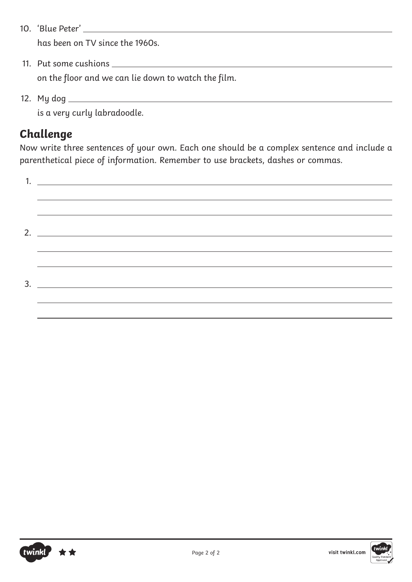- 10. 'Blue Peter' has been on TV since the 1960s.
- 11. Put some cushions on the floor and we can lie down to watch the film.
- 12. My dog

is a very curly labradoodle.

### **Challenge**

Now write three sentences of your own. Each one should be a complex sentence and include a parenthetical piece of information. Remember to use brackets, dashes or commas.



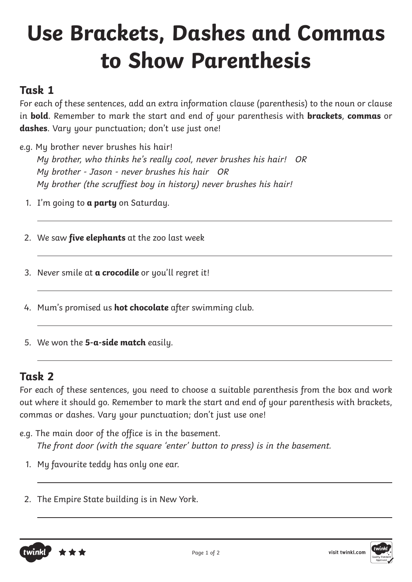## **Use Brackets, Dashes and Commas to Show Parenthesis**

#### **Task 1**

For each of these sentences, add an extra information clause (parenthesis) to the noun or clause in **bold**. Remember to mark the start and end of your parenthesis with **brackets**, **commas** or **dashes**. Vary your punctuation; don't use just one!

- e.g. My brother never brushes his hair! My brother, who thinks he's really cool, never brushes his hair! OR My brother - Jason - never brushes his hair OR My brother (the scruffiest boy in history) never brushes his hair!
	- 1. I'm going to **a party** on Saturday.
	- 2. We saw **five elephants** at the zoo last week
	- 3. Never smile at **a crocodile** or you'll regret it!
	- 4. Mum's promised us **hot chocolate** after swimming club.
	- 5. We won the **5-a-side match** easily.

#### **Task 2**

For each of these sentences, you need to choose a suitable parenthesis from the box and work out where it should go. Remember to mark the start and end of your parenthesis with brackets, commas or dashes. Vary your punctuation; don't just use one!

- e.g. The main door of the office is in the basement. The front door (with the square 'enter' button to press) is in the basement.
	- 1. My favourite teddy has only one ear.
	- 2. The Empire State building is in New York.